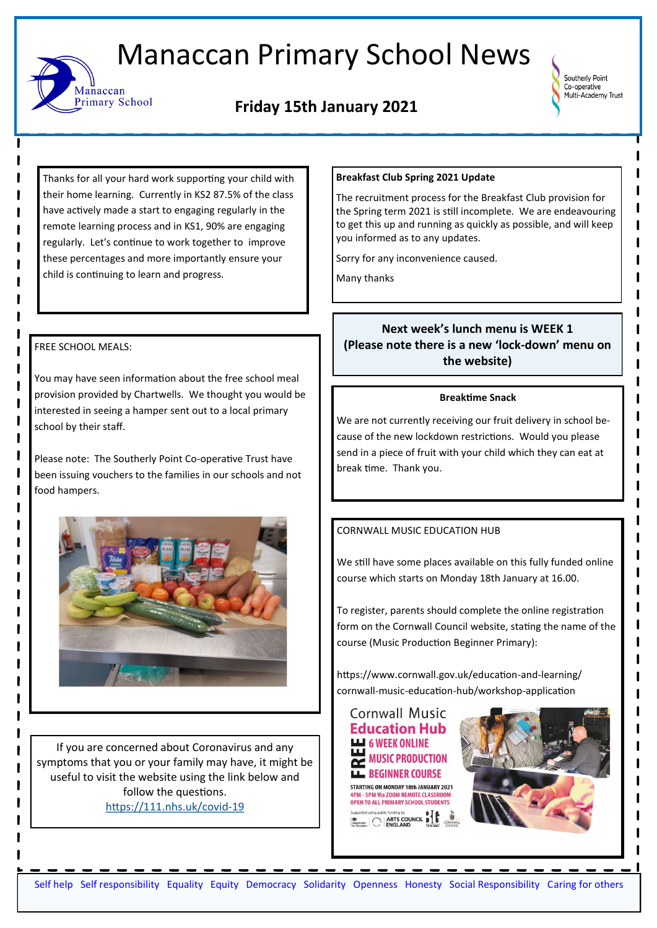# Manaccan Primary School News

## **Friday 15th January 2021**



Thanks for all your hard work supporting your child with their home learning. Currently in KS2 87.5% of the class have actively made a start to engaging regularly in the remote learning process and in KS1, 90% are engaging regularly. Let's continue to work together to improve these percentages and more importantly ensure your child is continuing to learn and progress.

## FREE SCHOOL MEALS:

Manaccan

**Primary School** 

You may have seen information about the free school meal provision provided by Chartwells. We thought you would be interested in seeing a hamper sent out to a local primary school by their staff.

Please note: The Southerly Point Co-operative Trust have been issuing vouchers to the families in our schools and not food hampers.



If you are concerned about Coronavirus and any symptoms that you or your family may have, it might be useful to visit the website using the link below and follow the questions. [https://111.nhs.uk/covid](https://111.nhs.uk/covid-19)-19

## **Breakfast Club Spring 2021 Update**

The recruitment process for the Breakfast Club provision for the Spring term 2021 is still incomplete. We are endeavouring to get this up and running as quickly as possible, and will keep you informed as to any updates.

Sorry for any inconvenience caused.

Many thanks

## **Next week's lunch menu is WEEK 1 (Please note there is a new 'lock-down' menu on the website)**

#### **Breaktime Snack**

We are not currently receiving our fruit delivery in school because of the new lockdown restrictions. Would you please send in a piece of fruit with your child which they can eat at break time. Thank you.

## CORNWALL MUSIC EDUCATION HUB

We still have some places available on this fully funded online course which starts on Monday 18th January at 16.00.

To register, parents should complete the online registration form on the Cornwall Council website, stating the name of the course (Music Production Beginner Primary):

https://www.cornwall.gov.uk/education-and-learning/ cornwall-music-education-hub/workshop-application

**Cornwall Music Education Hub 6 WEEK ONLINE MUSIC PRODUCTION**  $\overline{\mathbf{r}}$ **LL BEGINNER COURSE** STARTING ON MONDAY 18th JANUARY 2021 **4PM - 5PM Via ZOOM REMOTE CLASSROOM<br>OPEN TO ALL PRIMARY SCHOOL STUDENTS Explored Unity Political International Property of the ARTS COUNCIL INTERNATIONAL PROPERTY**